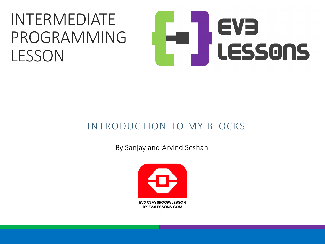#### INTERMEDIATE PROGRAMMING LESSON

# EVE LESSONS

#### INTRODUCTION TO MY BLOCKS

By Sanjay and Arvind Seshan

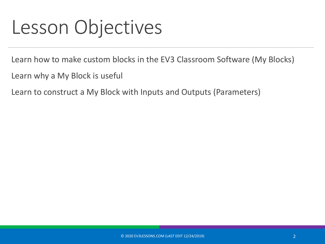#### Lesson Objectives

Learn how to make custom blocks in the EV3 Classroom Software (My Blocks)

Learn why a My Block is useful

Learn to construct a My Block with Inputs and Outputs (Parameters)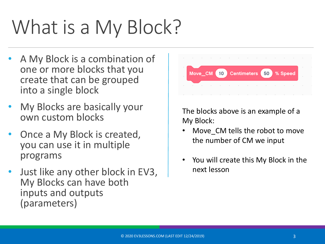## What is a My Block?

- A My Block is a combination of one or more blocks that you create that can be grouped into a single block
- My Blocks are basically your own custom blocks
- Once a My Block is created, you can use it in multiple programs
- Just like any other block in EV3, My Blocks can have both inputs and outputs (parameters)



The blocks above is an example of a My Block:

- Move CM tells the robot to move the number of CM we input
- You will create this My Block in the next lesson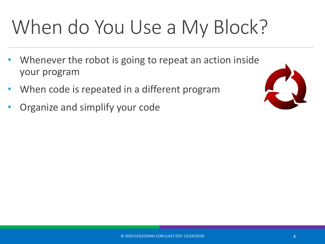## When do You Use a My Block?

- Whenever the robot is going to repeat an action inside your program
- When code is repeated in a different program
- Organize and simplify your code

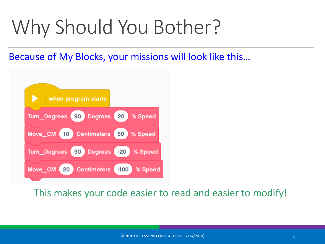#### Why Should You Bother?

#### Because of My Blocks, your missions will look like this…



This makes your code easier to read and easier to modify!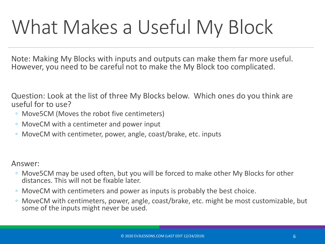#### What Makes a Useful My Block

Note: Making My Blocks with inputs and outputs can make them far more useful. However, you need to be careful not to make the My Block too complicated.

Question: Look at the list of three My Blocks below. Which ones do you think are useful for to use?

- Move5CM (Moves the robot five centimeters)
- MoveCM with a centimeter and power input
- MoveCM with centimeter, power, angle, coast/brake, etc. inputs

Answer:

- Move5CM may be used often, but you will be forced to make other My Blocks for other distances. This will not be fixable later.
- MoveCM with centimeters and power as inputs is probably the best choice.
- MoveCM with centimeters, power, angle, coast/brake, etc. might be most customizable, but some of the inputs might never be used.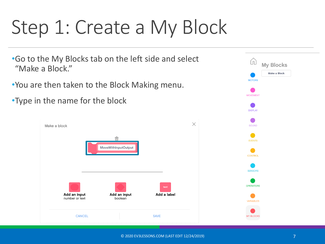#### Step 1: Create a My Block

•Go to the My Blocks tab on the left side and select "Make a Block."

•You are then taken to the Block Making menu.

•Type in the name for the block



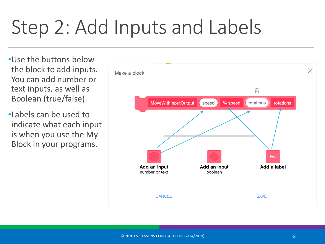#### Step 2: Add Inputs and Labels

•Use the buttons below the block to add inputs. You can add number or text inputs, as well as Boolean (true/false).

•Labels can be used to indicate what each input is when you use the My Block in your programs.

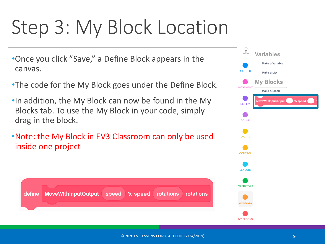#### Step 3: My Block Location

- •Once you click "Save," a Define Block appears in the canvas.
- •The code for the My Block goes under the Define Block.
- •In addition, the My Block can now be found in the My Blocks tab. To use the My Block in your code, simply drag in the block.
- •Note: the My Block in EV3 Classroom can only be used inside one project

| define MoveWithInputOutput speed % speed rotations rotations |  |  |
|--------------------------------------------------------------|--|--|
|                                                              |  |  |
|                                                              |  |  |

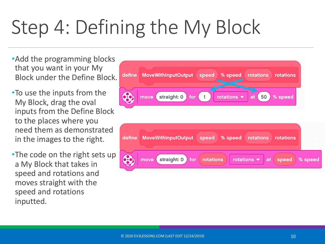### Step 4: Defining the My Block

- •Add the programming blocks that you want in your My Block under the Define Block.
- •To use the inputs from the My Block, drag the oval inputs from the Define Block to the places where you need them as demonstrated in the images to the right.
- •The code on the right sets up a My Block that takes in speed and rotations and moves straight with the speed and rotations inputted.

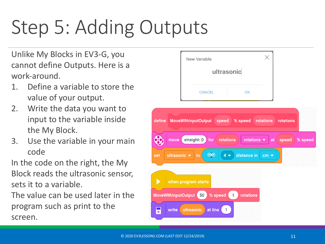## Step 5: Adding Outputs

Unlike My Blocks in EV3-G, you cannot define Outputs. Here is a work-around.

- 1. Define a variable to store the value of your output.
- 2. Write the data you want to input to the variable inside the My Block.
- 3. Use the variable in your main code

In the code on the right, the My Block reads the ultrasonic sensor, sets it to a variable.

The value can be used later in the program such as print to the screen.

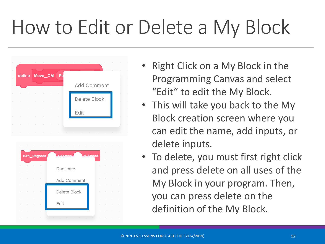#### How to Edit or Delete a My Block

|          |        |        |              | define Move_CM | Po        |                                          |                    |          |                    |
|----------|--------|--------|--------------|----------------|-----------|------------------------------------------|--------------------|----------|--------------------|
|          |        |        |              |                |           |                                          | <b>Add Comment</b> |          |                    |
|          |        |        |              |                |           |                                          | Delete Block       |          |                    |
|          |        |        |              |                |           | Edit                                     |                    |          |                    |
|          |        |        | ٠            | ٠              |           |                                          |                    |          |                    |
| $\alpha$ |        | ٠      | $\sim$       | $\sim$         |           | the contract of the contract of the con- |                    |          |                    |
|          |        |        |              |                |           |                                          |                    |          |                    |
|          |        |        | Turn_Degrees |                | Dearees   |                                          | % Sneed            |          |                    |
|          |        |        |              |                | Duplicate |                                          |                    |          |                    |
|          |        |        |              |                |           | Add Comment                              |                    |          |                    |
|          |        |        |              |                |           | Delete Block                             |                    |          |                    |
|          |        |        |              |                | Edit      |                                          |                    |          |                    |
| $\mu$    | $\sim$ | $\sim$ | $\sim$       |                |           | the contract of the contract of the      | $\sim$             | $\alpha$ | $\sim$<br>$\alpha$ |

- Right Click on a My Block in the Programming Canvas and select "Edit" to edit the My Block.
- This will take you back to the My Block creation screen where you can edit the name, add inputs, or delete inputs.
- To delete, you must first right click and press delete on all uses of the My Block in your program. Then, you can press delete on the definition of the My Block.